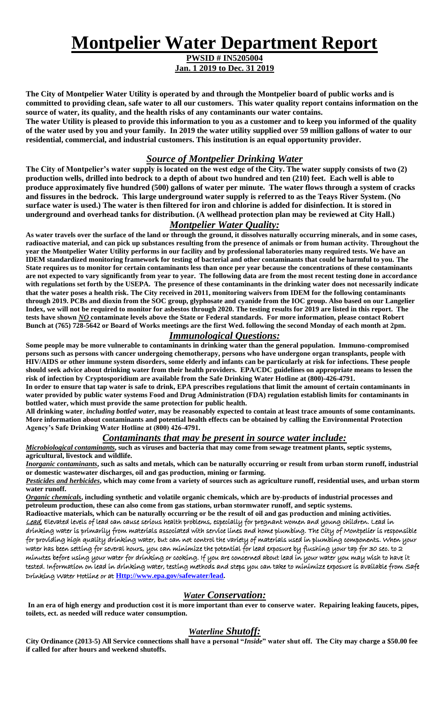# **Montpelier Water Department Report**

**PWSID # IN5205004 Jan. 1 2019 to Dec. 31 2019**

**The City of Montpelier Water Utility is operated by and through the Montpelier board of public works and is committed to providing clean, safe water to all our customers. This water quality report contains information on the source of water, its quality, and the health risks of any contaminants our water contains.**

**The water Utility is pleased to provide this information to you as a customer and to keep you informed of the quality of the water used by you and your family. In 2019 the water utility supplied over 59 million gallons of water to our residential, commercial, and industrial customers. This institution is an equal opportunity provider.**

# *Source of Montpelier Drinking Water*

**The City of Montpelier's water supply is located on the west edge of the City. The water supply consists of two (2) production wells, drilled into bedrock to a depth of about two hundred and ten (210) feet. Each well is able to produce approximately five hundred (500) gallons of water per minute. The water flows through a system of cracks and fissures in the bedrock. This large underground water supply is referred to as the Teays River System. (No surface water is used.) The water is then filtered for iron and chlorine is added for disinfection. It is stored in underground and overhead tanks for distribution. (A wellhead protection plan may be reviewed at City Hall.)**

# *Montpelier Water Quality:*

**As water travels over the surface of the land or through the ground, it dissolves naturally occurring minerals, and in some cases, radioactive material, and can pick up substances resulting from the presence of animals or from human activity. Throughout the year the Montpelier Water Utility performs in our facility and by professional laboratories many required tests. We have an IDEM standardized monitoring framework for testing of bacterial and other contaminants that could be harmful to you. The State requires us to monitor for certain contaminants less than once per year because the concentrations of these contaminants are not expected to vary significantly from year to year. The following data are from the most recent testing done in accordance with regulations set forth by the USEPA. The presence of these contaminants in the drinking water does not necessarily indicate that the water poses a health risk. The City received in 2011, monitoring waivers from IDEM for the following contaminants through 2019. PCBs and dioxin from the SOC group, glyphosate and cyanide from the IOC group. Also based on our Langelier Index, we will not be required to monitor for asbestos through 2020. The testing results for 2019 are listed in this report. The tests have shown** *NO* **contaminate levels above the State or Federal standards. For more information, please contact Robert Bunch at (765) 728-5642 or Board of Works meetings are the first Wed. following the second Monday of each month at 2pm.**

## *Immunological Questions:*

**Some people may be more vulnerable to contaminants in drinking water than the general population. Immuno-compromised persons such as persons with cancer undergoing chemotherapy, persons who have undergone organ transplants, people with HIV/AIDS or other immune system disorders, some elderly and infants can be particularly at risk for infections. These people should seek advice about drinking water from their health providers. EPA/CDC guidelines on appropriate means to lessen the risk of infection by Cryptosporidium are available from the Safe Drinking Water Hotline at (800)-426-4791.**

**In order to ensure that tap water is safe to drink, EPA prescribes regulations that limit the amount of certain contaminants in water provided by public water systems Food and Drug Administration (FDA) regulation establish limits for contaminants in bottled water, which must provide the same protection for public health.** 

**All drinking water***, including bottled water***, may be reasonably expected to contain at least trace amounts of some contaminants. More information about contaminants and potential health effects can be obtained by calling the Environmental Protection Agency's Safe Drinking Water Hotline at (800) 426-4791.**

#### *Contaminants that may be present in source water include:*

*Microbiological contaminants***, such as viruses and bacteria that may come from sewage treatment plants, septic systems, agricultural, livestock and wildlife.**

*Inorganic contaminants***, such as salts and metals, which can be naturally occurring or result from urban storm runoff, industrial or domestic wastewater discharges, oil and gas production, mining or farming.**

*Pesticides and herbicides***, which may come from a variety of sources such as agriculture runoff, residential uses, and urban storm water runoff.**

*Organic chemicals***, including synthetic and volatile organic chemicals, which are by-products of industrial processes and petroleum production, these can also come from gas stations, urban stormwater runoff, and septic systems.** 

**Radioactive materials, which can be naturally occurring or be the result of oil and gas production and mining activities.** Lead, Elevated levels of lead can cause serious health problems, especially for pregnant women and young children. Lead in drinking water is primarily from materials associated with service lines and home plumbing. The City of Montpelier is responsible for providing high quality drinking water, but can not control the variety of materials used in plumbing components. When your water has been setting for several hours, you can minimize the potential for lead exposure by flushing your tap for 30 sec. to 2 minutes before using your water for drinking or cooking. If you are concerned about lead in your water you may wish to have it tested. Information on lead in drinking water, testing methods and steps you can take to minimize exposure is available from Safe Drinking Water Hotline or at **[Http://www.epa.gov/safewater/lead.](http://www.epa.gov/safewater/lead)**

#### *Water Conservation:*

**In an era of high energy and production cost it is more important than ever to conserve water. Repairing leaking faucets, pipes, toilets, ect. as needed will reduce water consumption.** 

# *Waterline Shutoff:*

**City Ordinance (2013-5) All Service connections shall have a personal "***Inside***" water shut off. The City may charge a \$50.00 fee if called for after hours and weekend shutoffs.**